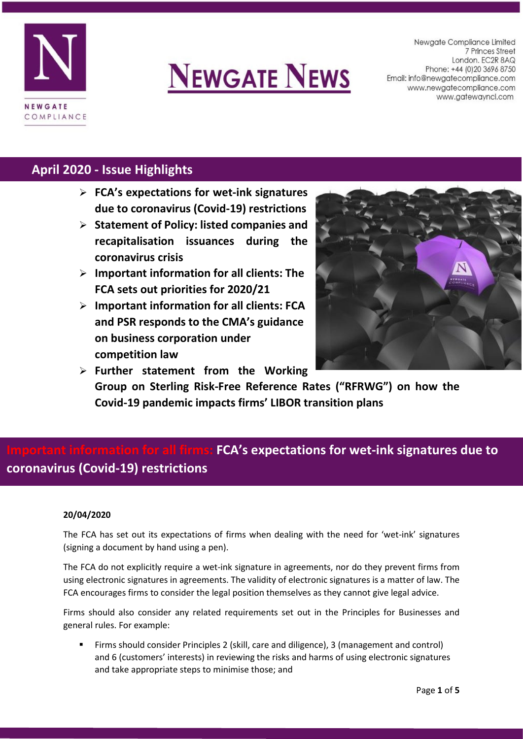

# **NEWGATE NEWS**

Newaate Compliance Limited 7 Princes Street London. EC2R 8AQ Phone: +44 (0) 20 3696 8750 Email: info@newgatecompliance.com www.newgatecompliance.com www.gatewayncl.com

## **April 2020 - Issue Highlights**

- **FCA's expectations for wet-ink signatures due to coronavirus (Covid-19) restrictions**
- **Statement of Policy: listed companies and recapitalisation issuances during the coronavirus crisis**
- **Important information for all clients: The FCA sets out priorities for 2020/21**
- **Important information for all clients: FCA and PSR responds to the CMA's guidance on business corporation under competition law**

**Further statement from the Working** 



**Group on Sterling Risk-Free Reference Rates ("RFRWG") on how the Covid-19 pandemic impacts firms' LIBOR transition plans**

## **Important information for all firms: FCA's expectations for wet-ink signatures due to coronavirus (Covid-19) restrictions**

#### **20/04/2020**

The FCA has set out its expectations of firms when dealing with the need for 'wet-ink' signatures (signing a document by hand using a pen).

The FCA do not explicitly require a wet-ink signature in agreements, nor do they prevent firms from using electronic signatures in agreements. The validity of electronic signatures is a matter of law. The FCA encourages firms to consider the legal position themselves as they cannot give legal advice.

Firms should also consider any related requirements set out in the Principles for Businesses and general rules. For example:

 Firms should consider Principles 2 (skill, care and diligence), 3 (management and control) and 6 (customers' interests) in reviewing the risks and harms of using electronic signatures and take appropriate steps to minimise those; and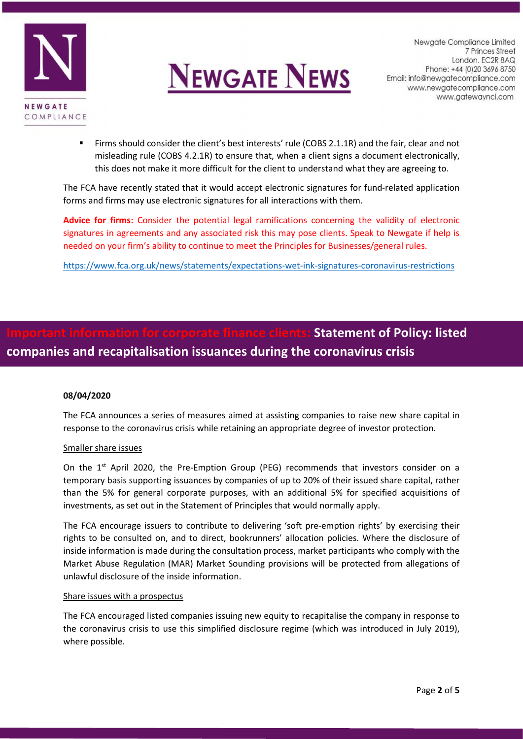



Firms should consider the client's best interests' rule (COBS 2.1.1R) and the fair, clear and not misleading rule (COBS 4.2.1R) to ensure that, when a client signs a document electronically, this does not make it more difficult for the client to understand what they are agreeing to.

The FCA have recently stated that it would accept electronic signatures for fund-related application forms and firms may use electronic signatures for all interactions with them.

**Advice for firms:** Consider the potential legal ramifications concerning the validity of electronic signatures in agreements and any associated risk this may pose clients. Speak to Newgate if help is needed on your firm's ability to continue to meet the Principles for Businesses/general rules.

<https://www.fca.org.uk/news/statements/expectations-wet-ink-signatures-coronavirus-restrictions>

## **Important information for corporate finance clients: Statement of Policy: listed companies and recapitalisation issuances during the coronavirus crisis**

#### **08/04/2020**

The FCA announces a series of measures aimed at assisting companies to raise new share capital in response to the coronavirus crisis while retaining an appropriate degree of investor protection.

#### Smaller share issues

On the  $1<sup>st</sup>$  April 2020, the Pre-Emption Group (PEG) recommends that investors consider on a temporary basis supporting issuances by companies of up to 20% of their issued share capital, rather than the 5% for general corporate purposes, with an additional 5% for specified acquisitions of investments, as set out in the Statement of Principles that would normally apply.

The FCA encourage issuers to contribute to delivering 'soft pre-emption rights' by exercising their rights to be consulted on, and to direct, bookrunners' allocation policies. Where the disclosure of inside information is made during the consultation process, market participants who comply with the Market Abuse Regulation (MAR) Market Sounding provisions will be protected from allegations of unlawful disclosure of the inside information.

#### Share issues with a prospectus

The FCA encouraged listed companies issuing new equity to recapitalise the company in response to the coronavirus crisis to use this simplified disclosure regime (which was introduced in July 2019), where possible.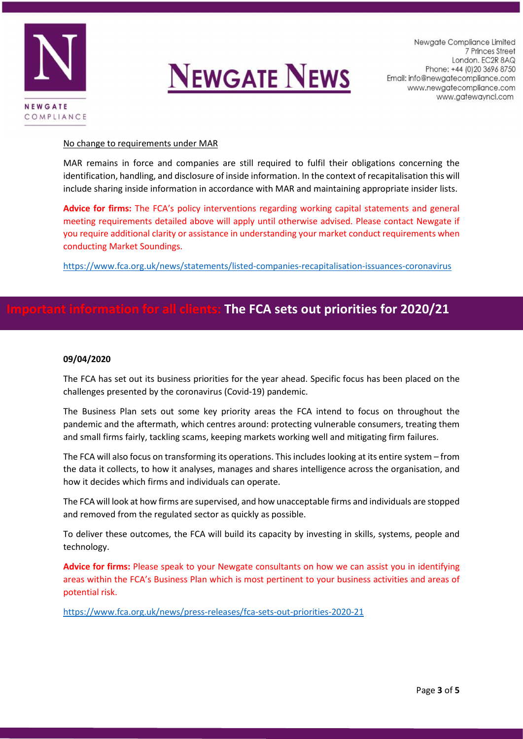



#### No change to requirements under MAR

MAR remains in force and companies are still required to fulfil their obligations concerning the identification, handling, and disclosure of inside information. In the context of recapitalisation this will include sharing inside information in accordance with MAR and maintaining appropriate insider lists.

**Advice for firms:** The FCA's policy interventions regarding working capital statements and general meeting requirements detailed above will apply until otherwise advised. Please contact Newgate if you require additional clarity or assistance in understanding your market conduct requirements when conducting Market Soundings.

<https://www.fca.org.uk/news/statements/listed-companies-recapitalisation-issuances-coronavirus>

### **Important information for all clients: The FCA sets out priorities for 2020/21**

#### **09/04/2020**

The FCA has set out its business priorities for the year ahead. Specific focus has been placed on the challenges presented by the coronavirus (Covid-19) pandemic.

The Business Plan sets out some key priority areas the FCA intend to focus on throughout the pandemic and the aftermath, which centres around: protecting vulnerable consumers, treating them and small firms fairly, tackling scams, keeping markets working well and mitigating firm failures.

The FCA will also focus on transforming its operations. This includes looking at its entire system – from the data it collects, to how it analyses, manages and shares intelligence across the organisation, and how it decides which firms and individuals can operate.

The FCA will look at how firms are supervised, and how unacceptable firms and individuals are stopped and removed from the regulated sector as quickly as possible.

To deliver these outcomes, the FCA will build its capacity by investing in skills, systems, people and technology.

**Advice for firms:** Please speak to your Newgate consultants on how we can assist you in identifying areas within the FCA's Business Plan which is most pertinent to your business activities and areas of potential risk.

<https://www.fca.org.uk/news/press-releases/fca-sets-out-priorities-2020-21>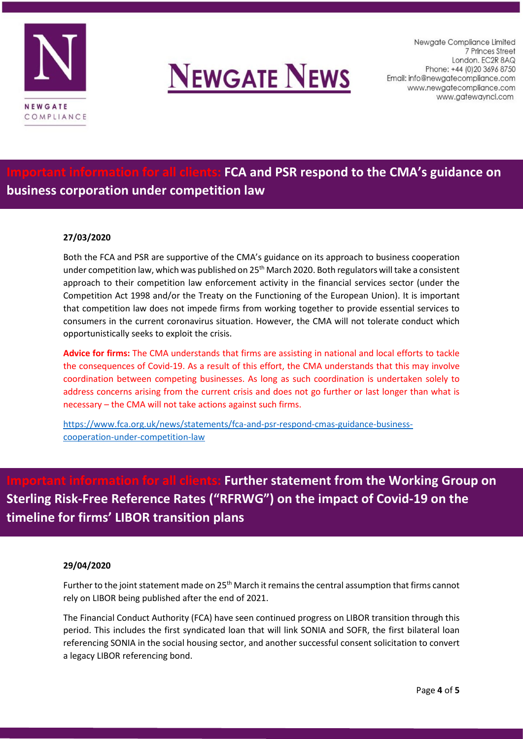



## **IFCA and PSR respond to the CMA's guidance on business corporation under competition law**

#### **27/03/2020**

Both the FCA and PSR are supportive of the CMA's guidance on its approach to business cooperation under competition law, which was published on 25<sup>th</sup> March 2020. Both regulators will take a consistent approach to their competition law enforcement activity in the financial services sector (under the Competition Act 1998 and/or the Treaty on the Functioning of the European Union). It is important that competition law does not impede firms from working together to provide essential services to consumers in the current coronavirus situation. However, the CMA will not tolerate conduct which opportunistically seeks to exploit the crisis.

**Advice for firms:** The CMA understands that firms are assisting in national and local efforts to tackle the consequences of Covid-19. As a result of this effort, the CMA understands that this may involve coordination between competing businesses. As long as such coordination is undertaken solely to address concerns arising from the current crisis and does not go further or last longer than what is necessary – the CMA will not take actions against such firms.

[https://www.fca.org.uk/news/statements/fca-and-psr-respond-cmas-guidance-business](https://www.fca.org.uk/news/statements/fca-and-psr-respond-cmas-guidance-business-cooperation-under-competition-law)[cooperation-under-competition-law](https://www.fca.org.uk/news/statements/fca-and-psr-respond-cmas-guidance-business-cooperation-under-competition-law)

**Further statement from the Working Group on Sterling Risk-Free Reference Rates ("RFRWG") on the impact of Covid-19 on the timeline for firms' LIBOR transition plans**

#### **29/04/2020**

Further to the joint statement made on 25<sup>th</sup> March it remains the central assumption that firms cannot rely on LIBOR being published after the end of 2021.

The Financial Conduct Authority (FCA) have seen continued progress on LIBOR transition through this period. This includes the first syndicated loan that will link SONIA and SOFR, the first bilateral loan referencing SONIA in the social housing sector, and another successful consent solicitation to convert a legacy LIBOR referencing bond.